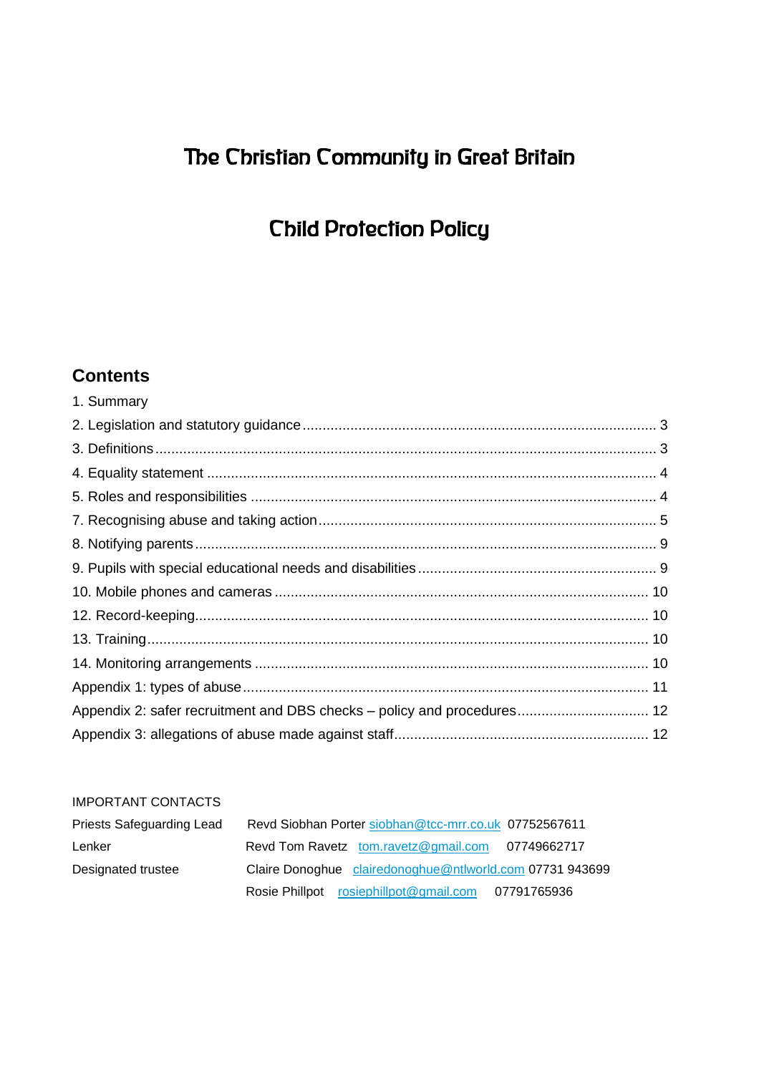# The Christian Community in Great Britain

# Child Protection Policy

# **Contents**

| 1. Summary                                                              |  |
|-------------------------------------------------------------------------|--|
|                                                                         |  |
|                                                                         |  |
|                                                                         |  |
|                                                                         |  |
|                                                                         |  |
|                                                                         |  |
|                                                                         |  |
|                                                                         |  |
|                                                                         |  |
|                                                                         |  |
|                                                                         |  |
|                                                                         |  |
| Appendix 2: safer recruitment and DBS checks - policy and procedures 12 |  |
|                                                                         |  |

### IMPORTANT CONTACTS

| <b>Priests Safeguarding Lead</b> | Revd Siobhan Porter siobhan@tcc-mrr.co.uk 07752567611    |  |
|----------------------------------|----------------------------------------------------------|--|
| Lenker                           | Revd Tom Ravetz tom.ravetz@gmail.com 07749662717         |  |
| Designated trustee               | Claire Donoghue clairedonoghue@ntlworld.com 07731 943699 |  |
|                                  | Rosie Phillpot rosiephillpot@gmail.com 07791765936       |  |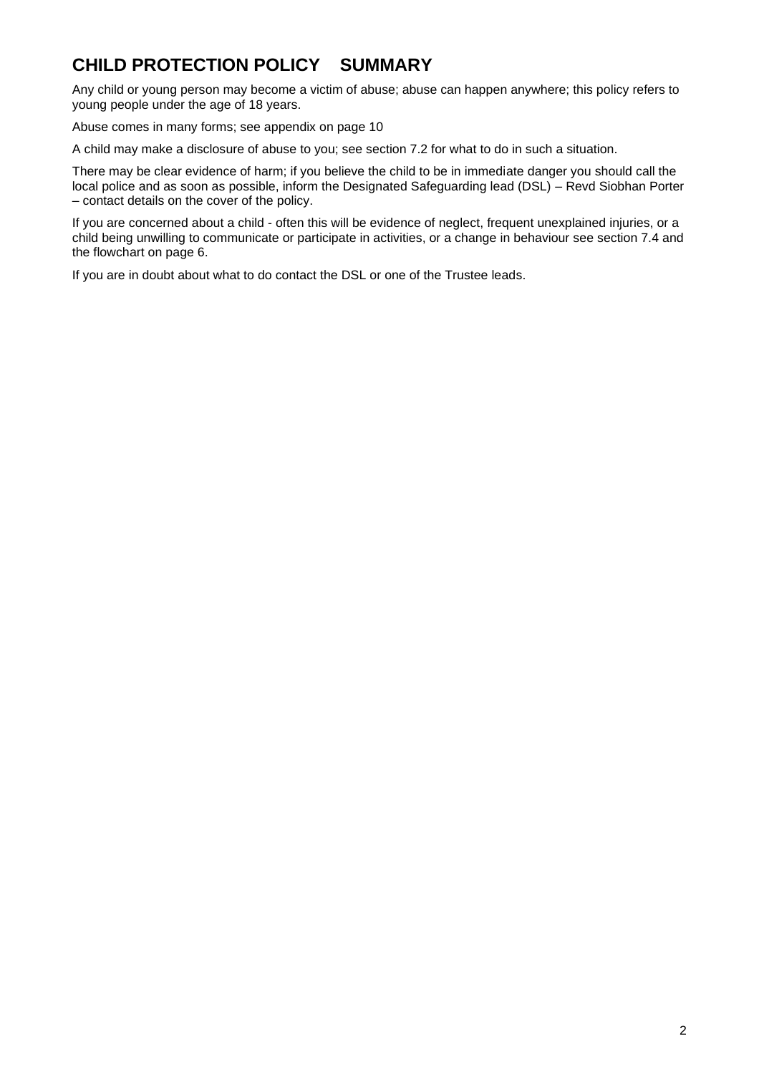# **CHILD PROTECTION POLICY SUMMARY**

Any child or young person may become a victim of abuse; abuse can happen anywhere; this policy refers to young people under the age of 18 years.

Abuse comes in many forms; see appendix on page 10

A child may make a disclosure of abuse to you; see section 7.2 for what to do in such a situation.

There may be clear evidence of harm; if you believe the child to be in immediate danger you should call the local police and as soon as possible, inform the Designated Safeguarding lead (DSL) – Revd Siobhan Porter – contact details on the cover of the policy.

If you are concerned about a child - often this will be evidence of neglect, frequent unexplained injuries, or a child being unwilling to communicate or participate in activities, or a change in behaviour see section 7.4 and the flowchart on page 6.

If you are in doubt about what to do contact the DSL or one of the Trustee leads.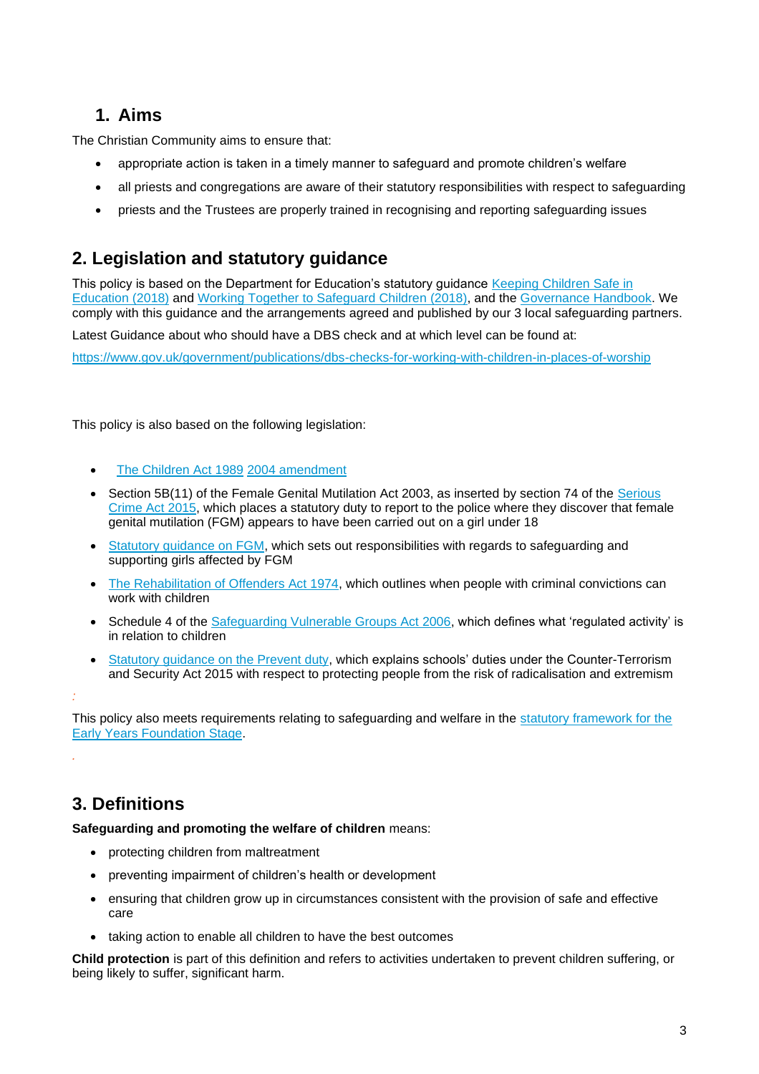# **1. Aims**

The Christian Community aims to ensure that:

- appropriate action is taken in a timely manner to safeguard and promote children's welfare
- all priests and congregations are aware of their statutory responsibilities with respect to safeguarding
- priests and the Trustees are properly trained in recognising and reporting safeguarding issues

# **2. Legislation and statutory guidance**

This policy is based on the Department for Education's statutory guidance [Keeping Children Safe in](https://www.gov.uk/government/publications/keeping-children-safe-in-education--2)  [Education \(2018\)](https://www.gov.uk/government/publications/keeping-children-safe-in-education--2) and [Working Together to Safeguard Children \(2018\),](https://www.gov.uk/government/publications/working-together-to-safeguard-children--2) and the [Governance Handbook.](https://www.gov.uk/government/publications/governance-handbook) We comply with this guidance and the arrangements agreed and published by our 3 local safeguarding partners. Latest Guidance about who should have a DBS check and at which level can be found at: <https://www.gov.uk/government/publications/dbs-checks-for-working-with-children-in-places-of-worship>

This policy is also based on the following legislation:

- [The Children Act 1989](http://www.legislation.gov.uk/ukpga/1989/41) 2004 amendment
- Section 5B(11) of the Female Genital Mutilation Act 2003, as inserted by section 74 of the Serious [Crime Act 2015,](http://www.legislation.gov.uk/ukpga/2015/9/part/5/crossheading/female-genital-mutilation) which places a statutory duty to report to the police where they discover that female genital mutilation (FGM) appears to have been carried out on a girl under 18
- [Statutory guidance on FGM,](https://www.gov.uk/government/publications/multi-agency-statutory-guidance-on-female-genital-mutilation) which sets out responsibilities with regards to safeguarding and supporting girls affected by FGM
- [The Rehabilitation of Offenders Act 1974,](http://www.legislation.gov.uk/ukpga/1974/53) which outlines when people with criminal convictions can work with children
- Schedule 4 of the [Safeguarding Vulnerable Groups Act 2006,](http://www.legislation.gov.uk/ukpga/2006/47/schedule/4) which defines what 'regulated activity' is in relation to children
- Statutory quidance on the Prevent duty, which explains schools' duties under the Counter-Terrorism and Security Act 2015 with respect to protecting people from the risk of radicalisation and extremism

*:*

*.*

This policy also meets requirements relating to safeguarding and welfare in the statutory framework for the [Early Years Foundation Stage.](https://www.gov.uk/government/publications/early-years-foundation-stage-framework--2)

### **3. Definitions**

#### **Safeguarding and promoting the welfare of children** means:

- protecting children from maltreatment
- preventing impairment of children's health or development
- ensuring that children grow up in circumstances consistent with the provision of safe and effective care
- taking action to enable all children to have the best outcomes

**Child protection** is part of this definition and refers to activities undertaken to prevent children suffering, or being likely to suffer, significant harm.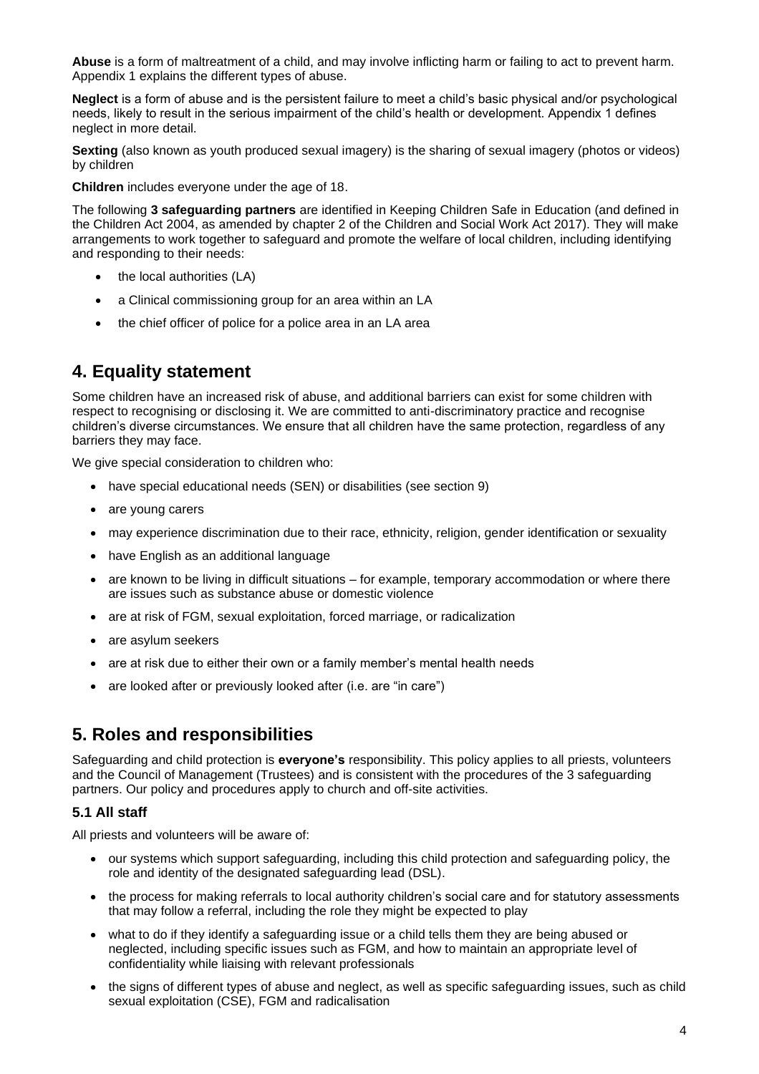**Abuse** is a form of maltreatment of a child, and may involve inflicting harm or failing to act to prevent harm. Appendix 1 explains the different types of abuse.

**Neglect** is a form of abuse and is the persistent failure to meet a child's basic physical and/or psychological needs, likely to result in the serious impairment of the child's health or development. Appendix 1 defines neglect in more detail.

**Sexting** (also known as youth produced sexual imagery) is the sharing of sexual imagery (photos or videos) by children

**Children** includes everyone under the age of 18.

The following **3 safeguarding partners** are identified in Keeping Children Safe in Education (and defined in the Children Act 2004, as amended by chapter 2 of the Children and Social Work Act 2017). They will make arrangements to work together to safeguard and promote the welfare of local children, including identifying and responding to their needs:

- the local authorities (LA)
- a Clinical commissioning group for an area within an LA
- the chief officer of police for a police area in an LA area

# **4. Equality statement**

Some children have an increased risk of abuse, and additional barriers can exist for some children with respect to recognising or disclosing it. We are committed to anti-discriminatory practice and recognise children's diverse circumstances. We ensure that all children have the same protection, regardless of any barriers they may face.

We give special consideration to children who:

- have special educational needs (SEN) or disabilities (see section 9)
- are young carers
- may experience discrimination due to their race, ethnicity, religion, gender identification or sexuality
- have English as an additional language
- are known to be living in difficult situations for example, temporary accommodation or where there are issues such as substance abuse or domestic violence
- are at risk of FGM, sexual exploitation, forced marriage, or radicalization
- are asylum seekers
- are at risk due to either their own or a family member's mental health needs
- are looked after or previously looked after (i.e. are "in care")

# **5. Roles and responsibilities**

Safeguarding and child protection is **everyone's** responsibility. This policy applies to all priests, volunteers and the Council of Management (Trustees) and is consistent with the procedures of the 3 safeguarding partners. Our policy and procedures apply to church and off-site activities.

### **5.1 All staff**

All priests and volunteers will be aware of:

- our systems which support safeguarding, including this child protection and safeguarding policy, the role and identity of the designated safeguarding lead (DSL).
- the process for making referrals to local authority children's social care and for statutory assessments that may follow a referral, including the role they might be expected to play
- what to do if they identify a safeguarding issue or a child tells them they are being abused or neglected, including specific issues such as FGM, and how to maintain an appropriate level of confidentiality while liaising with relevant professionals
- the signs of different types of abuse and neglect, as well as specific safeguarding issues, such as child sexual exploitation (CSE), FGM and radicalisation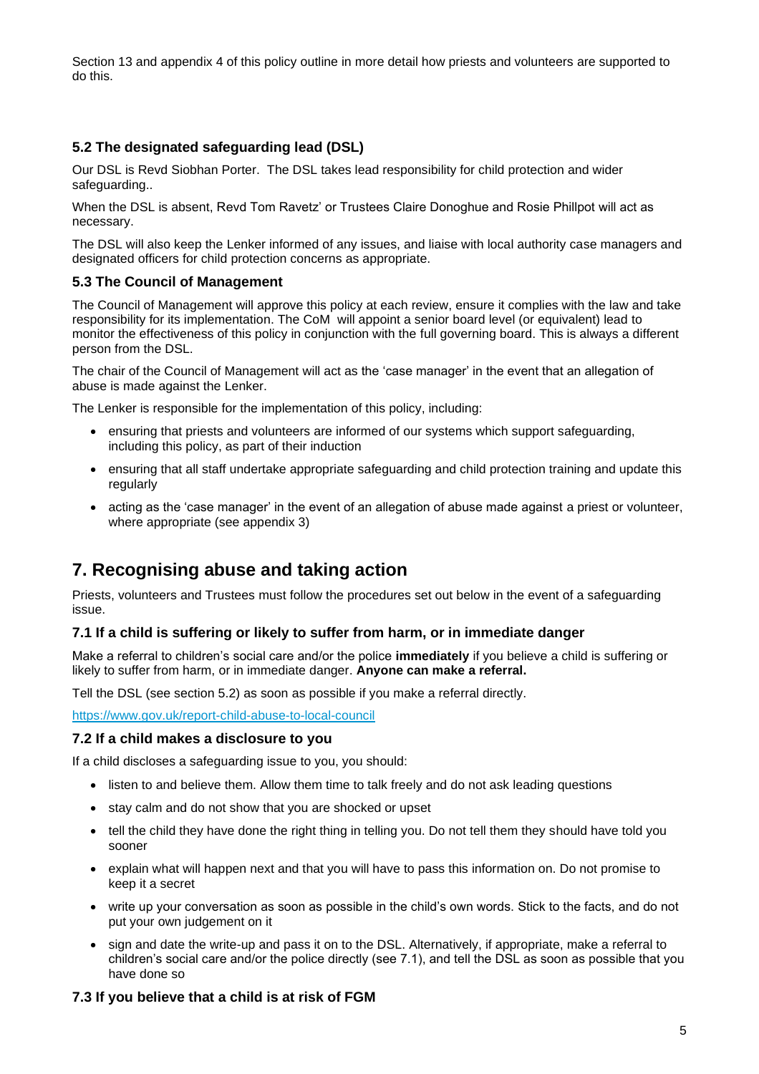Section 13 and appendix 4 of this policy outline in more detail how priests and volunteers are supported to do this.

### **5.2 The designated safeguarding lead (DSL)**

Our DSL is Revd Siobhan Porter. The DSL takes lead responsibility for child protection and wider safeguarding..

When the DSL is absent, Revd Tom Ravetz' or Trustees Claire Donoghue and Rosie Phillpot will act as necessary.

The DSL will also keep the Lenker informed of any issues, and liaise with local authority case managers and designated officers for child protection concerns as appropriate.

### **5.3 The Council of Management**

The Council of Management will approve this policy at each review, ensure it complies with the law and take responsibility for its implementation. The CoM will appoint a senior board level (or equivalent) lead to monitor the effectiveness of this policy in conjunction with the full governing board. This is always a different person from the DSL.

The chair of the Council of Management will act as the 'case manager' in the event that an allegation of abuse is made against the Lenker.

The Lenker is responsible for the implementation of this policy, including:

- ensuring that priests and volunteers are informed of our systems which support safeguarding, including this policy, as part of their induction
- ensuring that all staff undertake appropriate safeguarding and child protection training and update this regularly
- acting as the 'case manager' in the event of an allegation of abuse made against a priest or volunteer, where appropriate (see appendix 3)

# **7. Recognising abuse and taking action**

Priests, volunteers and Trustees must follow the procedures set out below in the event of a safeguarding issue.

### **7.1 If a child is suffering or likely to suffer from harm, or in immediate danger**

Make a referral to children's social care and/or the police **immediately** if you believe a child is suffering or likely to suffer from harm, or in immediate danger. **Anyone can make a referral.**

Tell the DSL (see section 5.2) as soon as possible if you make a referral directly.

<https://www.gov.uk/report-child-abuse-to-local-council>

#### **7.2 If a child makes a disclosure to you**

If a child discloses a safeguarding issue to you, you should:

- listen to and believe them. Allow them time to talk freely and do not ask leading questions
- stay calm and do not show that you are shocked or upset
- tell the child they have done the right thing in telling you. Do not tell them they should have told you sooner
- explain what will happen next and that you will have to pass this information on. Do not promise to keep it a secret
- write up your conversation as soon as possible in the child's own words. Stick to the facts, and do not put your own judgement on it
- sign and date the write-up and pass it on to the DSL. Alternatively, if appropriate, make a referral to children's social care and/or the police directly (see 7.1), and tell the DSL as soon as possible that you have done so

### **7.3 If you believe that a child is at risk of FGM**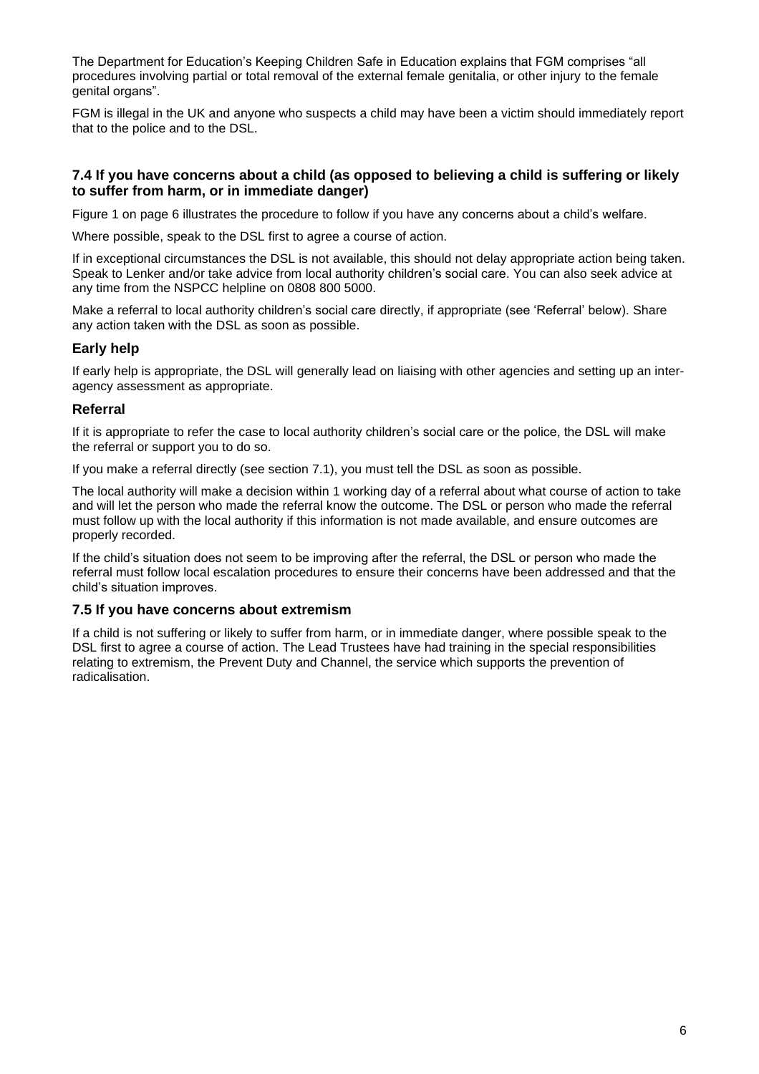The Department for Education's Keeping Children Safe in Education explains that FGM comprises "all procedures involving partial or total removal of the external female genitalia, or other injury to the female genital organs".

FGM is illegal in the UK and anyone who suspects a child may have been a victim should immediately report that to the police and to the DSL.

#### **7.4 If you have concerns about a child (as opposed to believing a child is suffering or likely to suffer from harm, or in immediate danger)**

Figure 1 on page 6 illustrates the procedure to follow if you have any concerns about a child's welfare.

Where possible, speak to the DSL first to agree a course of action.

If in exceptional circumstances the DSL is not available, this should not delay appropriate action being taken. Speak to Lenker and/or take advice from local authority children's social care. You can also seek advice at any time from the NSPCC helpline on 0808 800 5000.

Make a referral to local authority children's social care directly, if appropriate (see 'Referral' below). Share any action taken with the DSL as soon as possible.

### **Early help**

If early help is appropriate, the DSL will generally lead on liaising with other agencies and setting up an interagency assessment as appropriate.

### **Referral**

If it is appropriate to refer the case to local authority children's social care or the police, the DSL will make the referral or support you to do so.

If you make a referral directly (see section 7.1), you must tell the DSL as soon as possible.

The local authority will make a decision within 1 working day of a referral about what course of action to take and will let the person who made the referral know the outcome. The DSL or person who made the referral must follow up with the local authority if this information is not made available, and ensure outcomes are properly recorded.

If the child's situation does not seem to be improving after the referral, the DSL or person who made the referral must follow local escalation procedures to ensure their concerns have been addressed and that the child's situation improves.

#### **7.5 If you have concerns about extremism**

If a child is not suffering or likely to suffer from harm, or in immediate danger, where possible speak to the DSL first to agree a course of action. The Lead Trustees have had training in the special responsibilities relating to extremism, the Prevent Duty and Channel, the service which supports the prevention of radicalisation.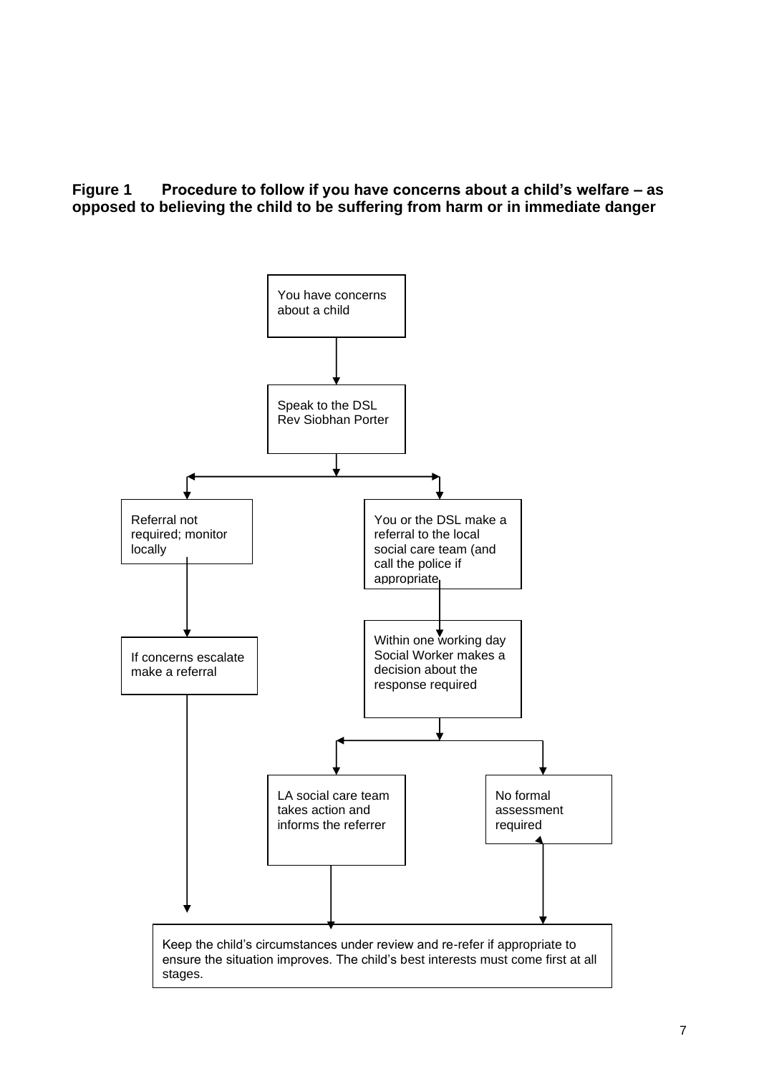**Figure 1 Procedure to follow if you have concerns about a child's welfare – as opposed to believing the child to be suffering from harm or in immediate danger**

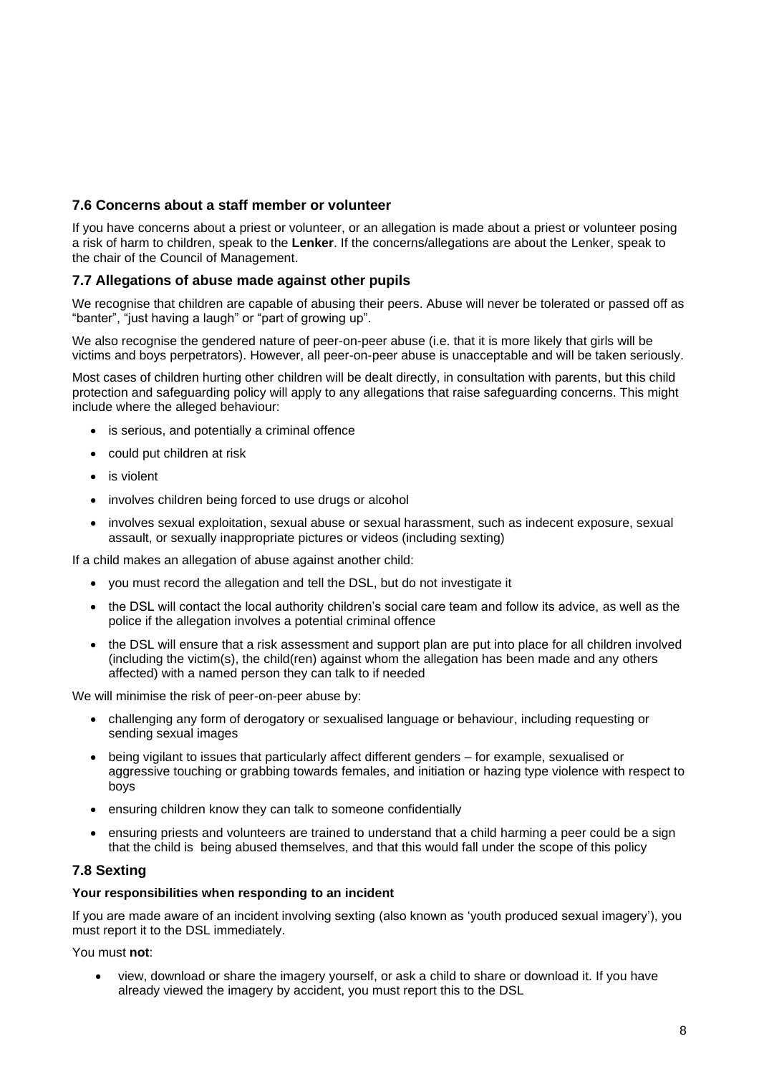### **7.6 Concerns about a staff member or volunteer**

If you have concerns about a priest or volunteer, or an allegation is made about a priest or volunteer posing a risk of harm to children, speak to the **Lenker**. If the concerns/allegations are about the Lenker, speak to the chair of the Council of Management.

### **7.7 Allegations of abuse made against other pupils**

We recognise that children are capable of abusing their peers. Abuse will never be tolerated or passed off as "banter", "just having a laugh" or "part of growing up".

We also recognise the gendered nature of peer-on-peer abuse (i.e. that it is more likely that girls will be victims and boys perpetrators). However, all peer-on-peer abuse is unacceptable and will be taken seriously.

Most cases of children hurting other children will be dealt directly, in consultation with parents, but this child protection and safeguarding policy will apply to any allegations that raise safeguarding concerns. This might include where the alleged behaviour:

- is serious, and potentially a criminal offence
- could put children at risk
- is violent
- involves children being forced to use drugs or alcohol
- involves sexual exploitation, sexual abuse or sexual harassment, such as indecent exposure, sexual assault, or sexually inappropriate pictures or videos (including sexting)

If a child makes an allegation of abuse against another child:

- you must record the allegation and tell the DSL, but do not investigate it
- the DSL will contact the local authority children's social care team and follow its advice, as well as the police if the allegation involves a potential criminal offence
- the DSL will ensure that a risk assessment and support plan are put into place for all children involved (including the victim(s), the child(ren) against whom the allegation has been made and any others affected) with a named person they can talk to if needed

We will minimise the risk of peer-on-peer abuse by:

- challenging any form of derogatory or sexualised language or behaviour, including requesting or sending sexual images
- being vigilant to issues that particularly affect different genders for example, sexualised or aggressive touching or grabbing towards females, and initiation or hazing type violence with respect to boys
- ensuring children know they can talk to someone confidentially
- ensuring priests and volunteers are trained to understand that a child harming a peer could be a sign that the child is being abused themselves, and that this would fall under the scope of this policy

### **7.8 Sexting**

#### **Your responsibilities when responding to an incident**

If you are made aware of an incident involving sexting (also known as 'youth produced sexual imagery'), you must report it to the DSL immediately.

You must **not**:

• view, download or share the imagery yourself, or ask a child to share or download it. If you have already viewed the imagery by accident, you must report this to the DSL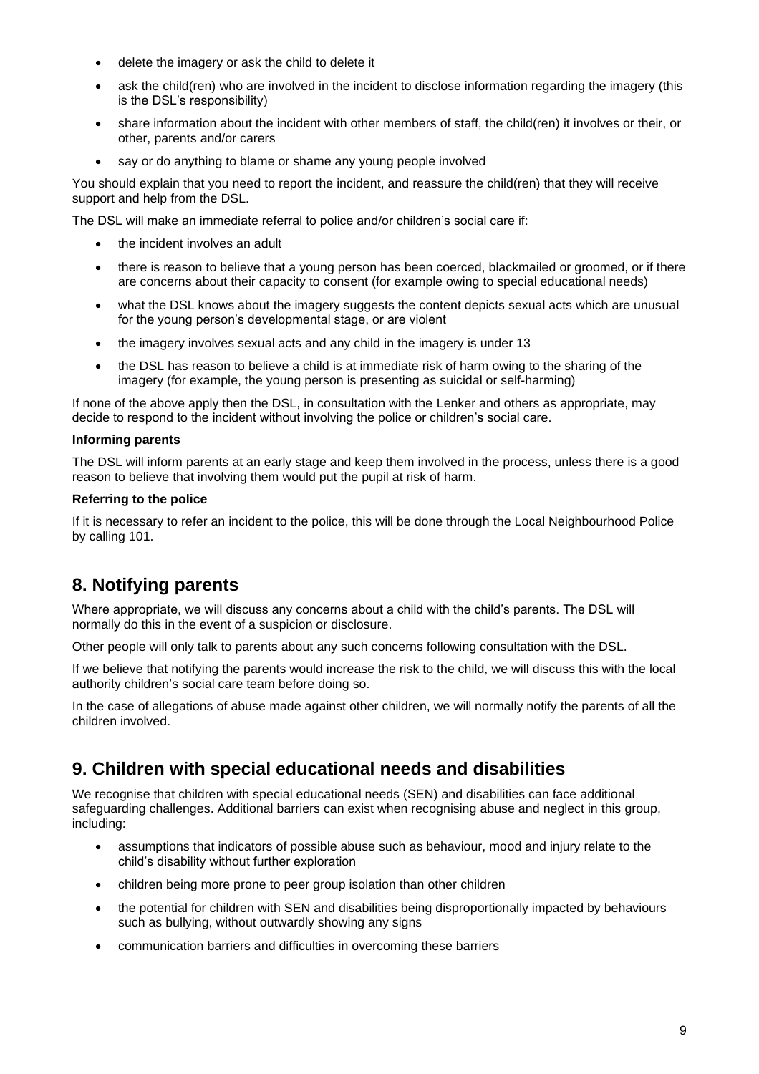- delete the imagery or ask the child to delete it
- ask the child(ren) who are involved in the incident to disclose information regarding the imagery (this is the DSL's responsibility)
- share information about the incident with other members of staff, the child(ren) it involves or their, or other, parents and/or carers
- say or do anything to blame or shame any young people involved

You should explain that you need to report the incident, and reassure the child(ren) that they will receive support and help from the DSL.

The DSL will make an immediate referral to police and/or children's social care if:

- the incident involves an adult
- there is reason to believe that a young person has been coerced, blackmailed or groomed, or if there are concerns about their capacity to consent (for example owing to special educational needs)
- what the DSL knows about the imagery suggests the content depicts sexual acts which are unusual for the young person's developmental stage, or are violent
- the imagery involves sexual acts and any child in the imagery is under 13
- the DSL has reason to believe a child is at immediate risk of harm owing to the sharing of the imagery (for example, the young person is presenting as suicidal or self-harming)

If none of the above apply then the DSL, in consultation with the Lenker and others as appropriate, may decide to respond to the incident without involving the police or children's social care.

#### **Informing parents**

The DSL will inform parents at an early stage and keep them involved in the process, unless there is a good reason to believe that involving them would put the pupil at risk of harm.

#### **Referring to the police**

If it is necessary to refer an incident to the police, this will be done through the Local Neighbourhood Police by calling 101.

### **8. Notifying parents**

Where appropriate, we will discuss any concerns about a child with the child's parents. The DSL will normally do this in the event of a suspicion or disclosure.

Other people will only talk to parents about any such concerns following consultation with the DSL.

If we believe that notifying the parents would increase the risk to the child, we will discuss this with the local authority children's social care team before doing so.

In the case of allegations of abuse made against other children, we will normally notify the parents of all the children involved.

### **9. Children with special educational needs and disabilities**

We recognise that children with special educational needs (SEN) and disabilities can face additional safeguarding challenges. Additional barriers can exist when recognising abuse and neglect in this group, including:

- assumptions that indicators of possible abuse such as behaviour, mood and injury relate to the child's disability without further exploration
- children being more prone to peer group isolation than other children
- the potential for children with SEN and disabilities being disproportionally impacted by behaviours such as bullying, without outwardly showing any signs
- communication barriers and difficulties in overcoming these barriers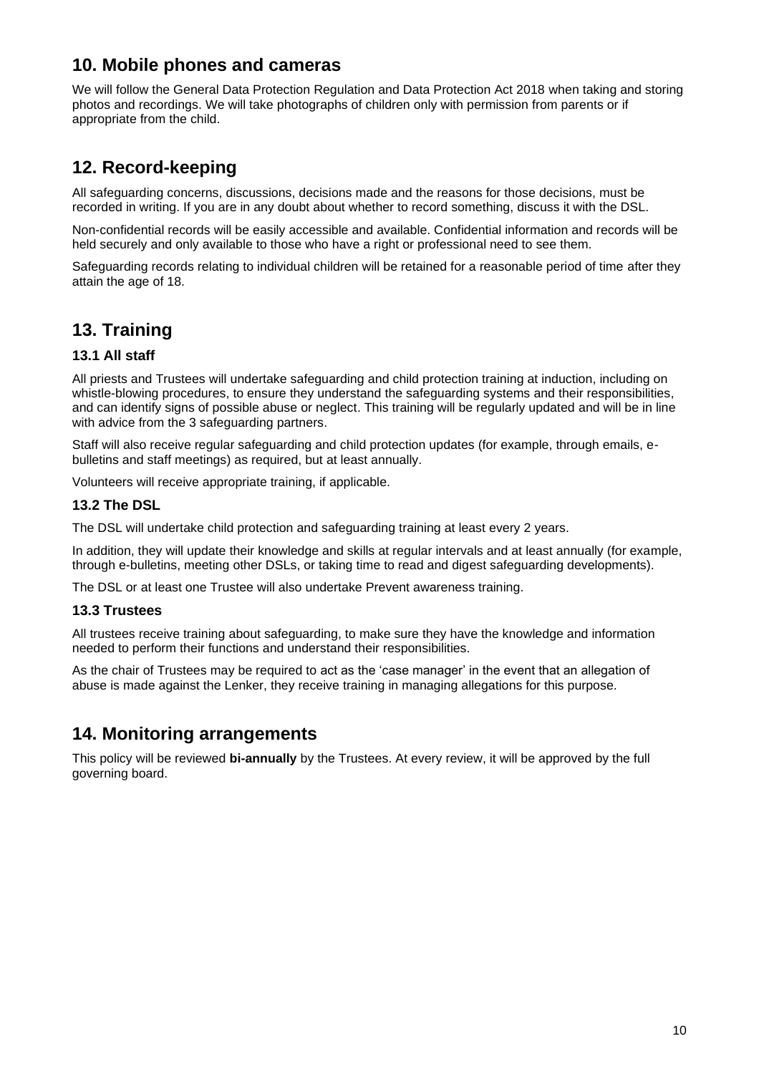# **10. Mobile phones and cameras**

We will follow the General Data Protection Regulation and Data Protection Act 2018 when taking and storing photos and recordings. We will take photographs of children only with permission from parents or if appropriate from the child.

# **12. Record-keeping**

All safeguarding concerns, discussions, decisions made and the reasons for those decisions, must be recorded in writing. If you are in any doubt about whether to record something, discuss it with the DSL.

Non-confidential records will be easily accessible and available. Confidential information and records will be held securely and only available to those who have a right or professional need to see them.

Safeguarding records relating to individual children will be retained for a reasonable period of time after they attain the age of 18.

# **13. Training**

### **13.1 All staff**

All priests and Trustees will undertake safeguarding and child protection training at induction, including on whistle-blowing procedures, to ensure they understand the safeguarding systems and their responsibilities, and can identify signs of possible abuse or neglect. This training will be regularly updated and will be in line with advice from the 3 safeguarding partners.

Staff will also receive regular safeguarding and child protection updates (for example, through emails, ebulletins and staff meetings) as required, but at least annually.

Volunteers will receive appropriate training, if applicable.

### **13.2 The DSL**

The DSL will undertake child protection and safeguarding training at least every 2 years.

In addition, they will update their knowledge and skills at regular intervals and at least annually (for example, through e-bulletins, meeting other DSLs, or taking time to read and digest safeguarding developments).

The DSL or at least one Trustee will also undertake Prevent awareness training.

### **13.3 Trustees**

All trustees receive training about safeguarding, to make sure they have the knowledge and information needed to perform their functions and understand their responsibilities.

As the chair of Trustees may be required to act as the 'case manager' in the event that an allegation of abuse is made against the Lenker, they receive training in managing allegations for this purpose.

# **14. Monitoring arrangements**

This policy will be reviewed **bi-annually** by the Trustees. At every review, it will be approved by the full governing board.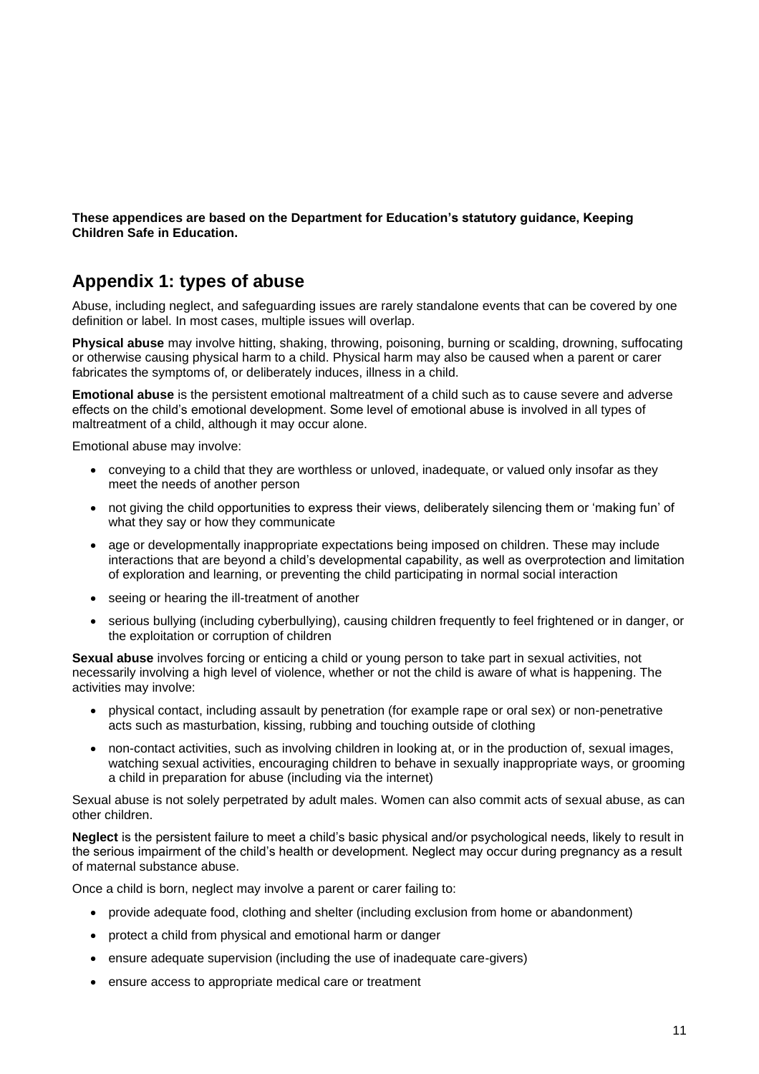**These appendices are based on the Department for Education's statutory guidance, Keeping Children Safe in Education.**

# **Appendix 1: types of abuse**

Abuse, including neglect, and safeguarding issues are rarely standalone events that can be covered by one definition or label. In most cases, multiple issues will overlap.

**Physical abuse** may involve hitting, shaking, throwing, poisoning, burning or scalding, drowning, suffocating or otherwise causing physical harm to a child. Physical harm may also be caused when a parent or carer fabricates the symptoms of, or deliberately induces, illness in a child.

**Emotional abuse** is the persistent emotional maltreatment of a child such as to cause severe and adverse effects on the child's emotional development. Some level of emotional abuse is involved in all types of maltreatment of a child, although it may occur alone.

Emotional abuse may involve:

- conveying to a child that they are worthless or unloved, inadequate, or valued only insofar as they meet the needs of another person
- not giving the child opportunities to express their views, deliberately silencing them or 'making fun' of what they say or how they communicate
- age or developmentally inappropriate expectations being imposed on children. These may include interactions that are beyond a child's developmental capability, as well as overprotection and limitation of exploration and learning, or preventing the child participating in normal social interaction
- seeing or hearing the ill-treatment of another
- serious bullying (including cyberbullying), causing children frequently to feel frightened or in danger, or the exploitation or corruption of children

**Sexual abuse** involves forcing or enticing a child or young person to take part in sexual activities, not necessarily involving a high level of violence, whether or not the child is aware of what is happening. The activities may involve:

- physical contact, including assault by penetration (for example rape or oral sex) or non-penetrative acts such as masturbation, kissing, rubbing and touching outside of clothing
- non-contact activities, such as involving children in looking at, or in the production of, sexual images, watching sexual activities, encouraging children to behave in sexually inappropriate ways, or grooming a child in preparation for abuse (including via the internet)

Sexual abuse is not solely perpetrated by adult males. Women can also commit acts of sexual abuse, as can other children.

**Neglect** is the persistent failure to meet a child's basic physical and/or psychological needs, likely to result in the serious impairment of the child's health or development. Neglect may occur during pregnancy as a result of maternal substance abuse.

Once a child is born, neglect may involve a parent or carer failing to:

- provide adequate food, clothing and shelter (including exclusion from home or abandonment)
- protect a child from physical and emotional harm or danger
- ensure adequate supervision (including the use of inadequate care-givers)
- ensure access to appropriate medical care or treatment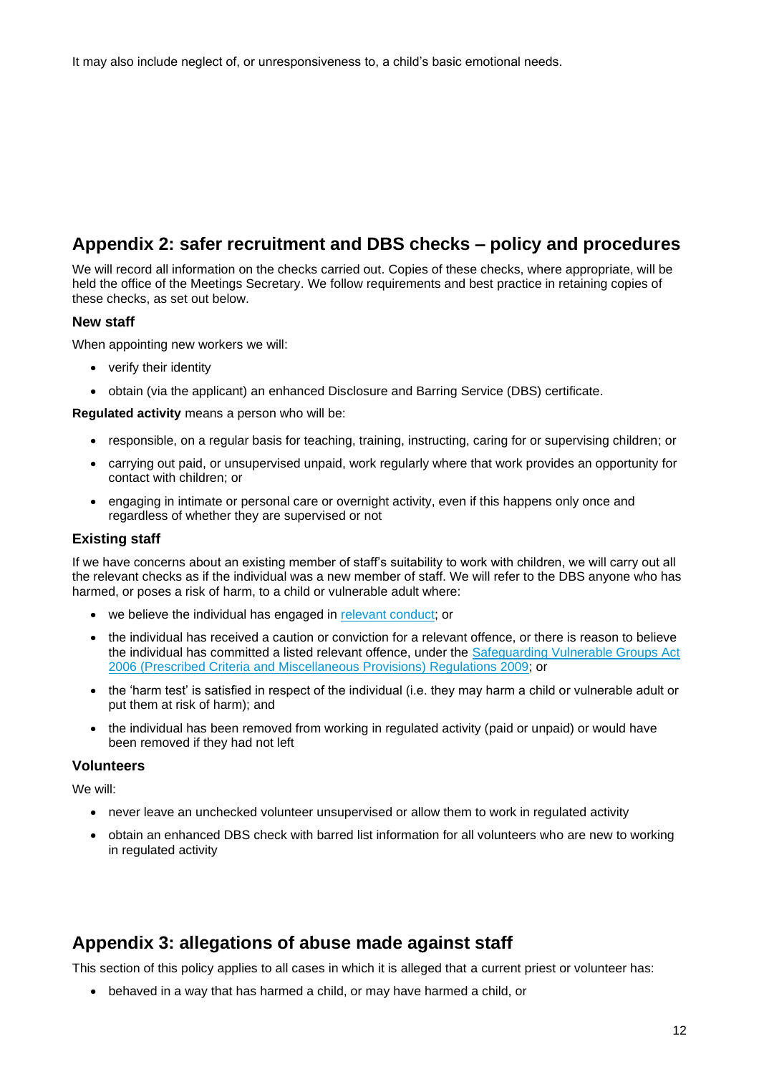# **Appendix 2: safer recruitment and DBS checks – policy and procedures**

We will record all information on the checks carried out. Copies of these checks, where appropriate, will be held the office of the Meetings Secretary. We follow requirements and best practice in retaining copies of these checks, as set out below.

#### **New staff**

When appointing new workers we will:

- verify their identity
- obtain (via the applicant) an enhanced Disclosure and Barring Service (DBS) certificate.

**Regulated activity** means a person who will be:

- responsible, on a regular basis for teaching, training, instructing, caring for or supervising children; or
- carrying out paid, or unsupervised unpaid, work regularly where that work provides an opportunity for contact with children; or
- engaging in intimate or personal care or overnight activity, even if this happens only once and regardless of whether they are supervised or not

#### **Existing staff**

If we have concerns about an existing member of staff's suitability to work with children, we will carry out all the relevant checks as if the individual was a new member of staff. We will refer to the DBS anyone who has harmed, or poses a risk of harm, to a child or vulnerable adult where:

- we believe the individual has engaged in [relevant conduct;](https://www.gov.uk/guidance/making-barring-referrals-to-the-dbs#relevant-conduct-in-relation-to-children) or
- the individual has received a caution or conviction for a relevant offence, or there is reason to believe the individual has committed a listed relevant offence, under the [Safeguarding Vulnerable Groups Act](http://www.legislation.gov.uk/uksi/2009/37/contents/made)  [2006 \(Prescribed Criteria and Miscellaneous Provisions\) Regulations 2009;](http://www.legislation.gov.uk/uksi/2009/37/contents/made) or
- the 'harm test' is satisfied in respect of the individual (i.e. they may harm a child or vulnerable adult or put them at risk of harm); and
- the individual has been removed from working in regulated activity (paid or unpaid) or would have been removed if they had not left

#### **Volunteers**

We will:

- never leave an unchecked volunteer unsupervised or allow them to work in regulated activity
- obtain an enhanced DBS check with barred list information for all volunteers who are new to working in regulated activity

### **Appendix 3: allegations of abuse made against staff**

This section of this policy applies to all cases in which it is alleged that a current priest or volunteer has:

• behaved in a way that has harmed a child, or may have harmed a child, or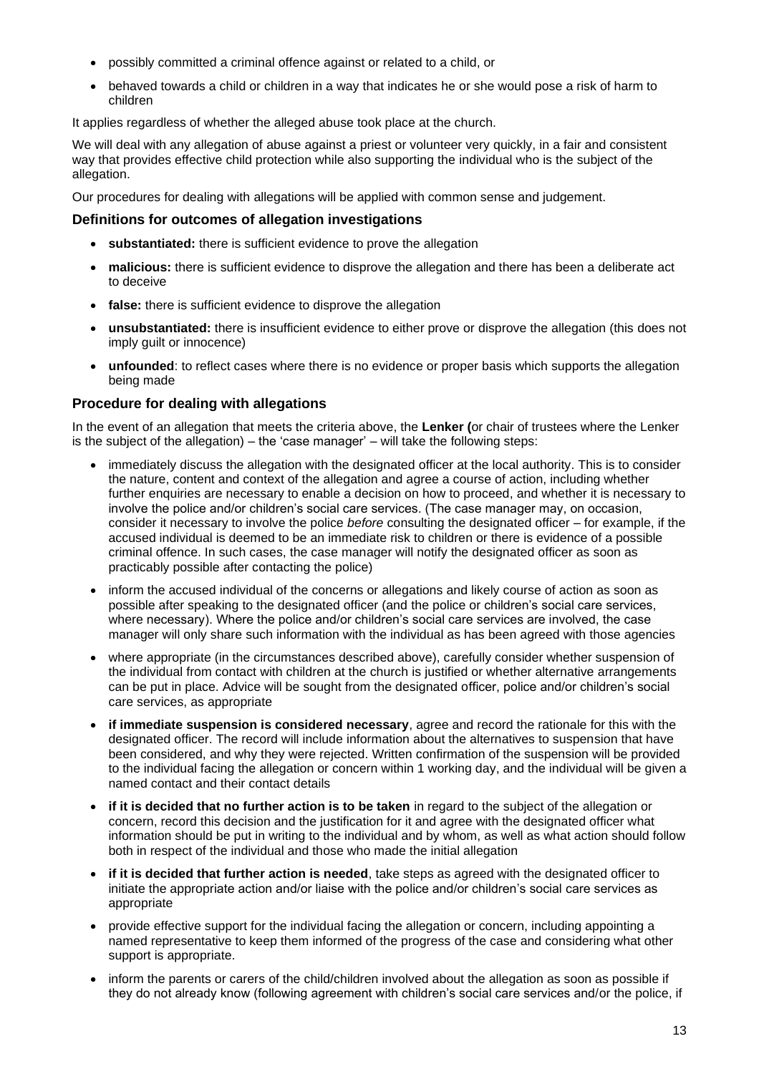- possibly committed a criminal offence against or related to a child, or
- behaved towards a child or children in a way that indicates he or she would pose a risk of harm to children

It applies regardless of whether the alleged abuse took place at the church.

We will deal with any allegation of abuse against a priest or volunteer very quickly, in a fair and consistent way that provides effective child protection while also supporting the individual who is the subject of the allegation.

Our procedures for dealing with allegations will be applied with common sense and judgement.

#### **Definitions for outcomes of allegation investigations**

- **substantiated:** there is sufficient evidence to prove the allegation
- **malicious:** there is sufficient evidence to disprove the allegation and there has been a deliberate act to deceive
- **false:** there is sufficient evidence to disprove the allegation
- **unsubstantiated:** there is insufficient evidence to either prove or disprove the allegation (this does not imply guilt or innocence)
- **unfounded**: to reflect cases where there is no evidence or proper basis which supports the allegation being made

### **Procedure for dealing with allegations**

In the event of an allegation that meets the criteria above, the **Lenker (**or chair of trustees where the Lenker is the subject of the allegation) – the 'case manager' – will take the following steps:

- immediately discuss the allegation with the designated officer at the local authority. This is to consider the nature, content and context of the allegation and agree a course of action, including whether further enquiries are necessary to enable a decision on how to proceed, and whether it is necessary to involve the police and/or children's social care services. (The case manager may, on occasion, consider it necessary to involve the police *before* consulting the designated officer – for example, if the accused individual is deemed to be an immediate risk to children or there is evidence of a possible criminal offence. In such cases, the case manager will notify the designated officer as soon as practicably possible after contacting the police)
- inform the accused individual of the concerns or allegations and likely course of action as soon as possible after speaking to the designated officer (and the police or children's social care services, where necessary). Where the police and/or children's social care services are involved, the case manager will only share such information with the individual as has been agreed with those agencies
- where appropriate (in the circumstances described above), carefully consider whether suspension of the individual from contact with children at the church is justified or whether alternative arrangements can be put in place. Advice will be sought from the designated officer, police and/or children's social care services, as appropriate
- **if immediate suspension is considered necessary**, agree and record the rationale for this with the designated officer. The record will include information about the alternatives to suspension that have been considered, and why they were rejected. Written confirmation of the suspension will be provided to the individual facing the allegation or concern within 1 working day, and the individual will be given a named contact and their contact details
- **if it is decided that no further action is to be taken** in regard to the subject of the allegation or concern, record this decision and the justification for it and agree with the designated officer what information should be put in writing to the individual and by whom, as well as what action should follow both in respect of the individual and those who made the initial allegation
- **if it is decided that further action is needed**, take steps as agreed with the designated officer to initiate the appropriate action and/or liaise with the police and/or children's social care services as appropriate
- provide effective support for the individual facing the allegation or concern, including appointing a named representative to keep them informed of the progress of the case and considering what other support is appropriate.
- inform the parents or carers of the child/children involved about the allegation as soon as possible if they do not already know (following agreement with children's social care services and/or the police, if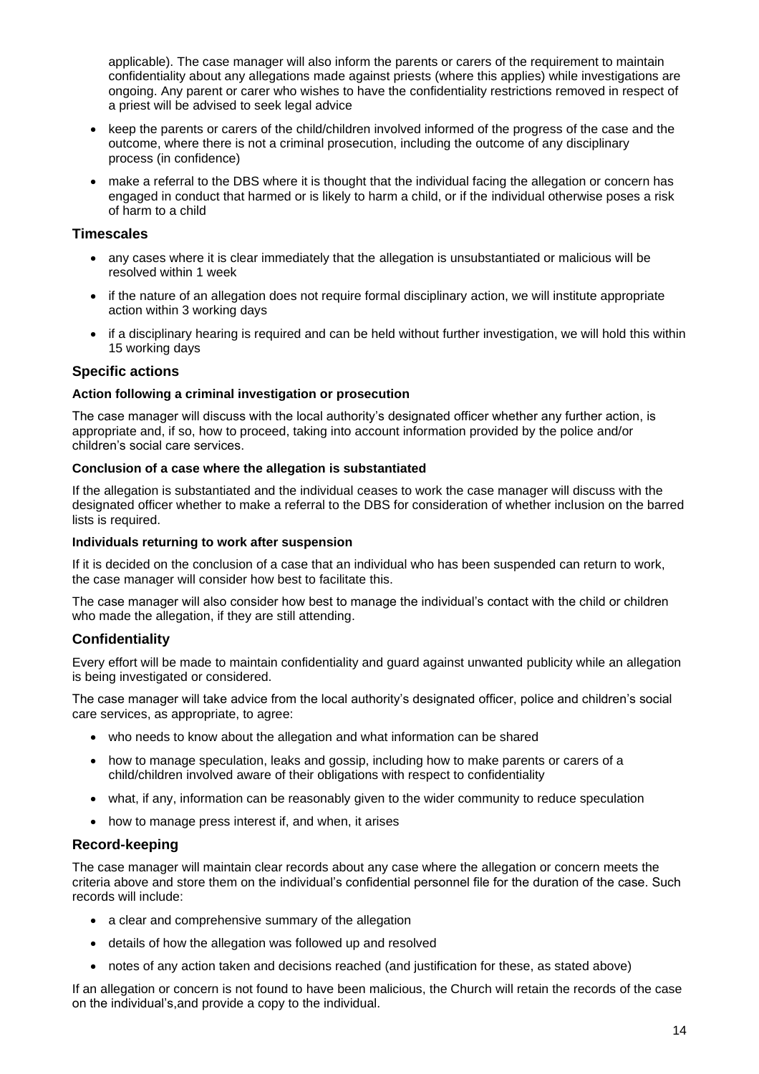applicable). The case manager will also inform the parents or carers of the requirement to maintain confidentiality about any allegations made against priests (where this applies) while investigations are ongoing. Any parent or carer who wishes to have the confidentiality restrictions removed in respect of a priest will be advised to seek legal advice

- keep the parents or carers of the child/children involved informed of the progress of the case and the outcome, where there is not a criminal prosecution, including the outcome of any disciplinary process (in confidence)
- make a referral to the DBS where it is thought that the individual facing the allegation or concern has engaged in conduct that harmed or is likely to harm a child, or if the individual otherwise poses a risk of harm to a child

### **Timescales**

- any cases where it is clear immediately that the allegation is unsubstantiated or malicious will be resolved within 1 week
- if the nature of an allegation does not require formal disciplinary action, we will institute appropriate action within 3 working days
- if a disciplinary hearing is required and can be held without further investigation, we will hold this within 15 working days

### **Specific actions**

#### **Action following a criminal investigation or prosecution**

The case manager will discuss with the local authority's designated officer whether any further action, is appropriate and, if so, how to proceed, taking into account information provided by the police and/or children's social care services.

#### **Conclusion of a case where the allegation is substantiated**

If the allegation is substantiated and the individual ceases to work the case manager will discuss with the designated officer whether to make a referral to the DBS for consideration of whether inclusion on the barred lists is required.

#### **Individuals returning to work after suspension**

If it is decided on the conclusion of a case that an individual who has been suspended can return to work, the case manager will consider how best to facilitate this.

The case manager will also consider how best to manage the individual's contact with the child or children who made the allegation, if they are still attending.

### **Confidentiality**

Every effort will be made to maintain confidentiality and guard against unwanted publicity while an allegation is being investigated or considered.

The case manager will take advice from the local authority's designated officer, police and children's social care services, as appropriate, to agree:

- who needs to know about the allegation and what information can be shared
- how to manage speculation, leaks and gossip, including how to make parents or carers of a child/children involved aware of their obligations with respect to confidentiality
- what, if any, information can be reasonably given to the wider community to reduce speculation
- how to manage press interest if, and when, it arises

#### **Record-keeping**

The case manager will maintain clear records about any case where the allegation or concern meets the criteria above and store them on the individual's confidential personnel file for the duration of the case. Such records will include:

- a clear and comprehensive summary of the allegation
- details of how the allegation was followed up and resolved
- notes of any action taken and decisions reached (and justification for these, as stated above)

If an allegation or concern is not found to have been malicious, the Church will retain the records of the case on the individual's,and provide a copy to the individual.